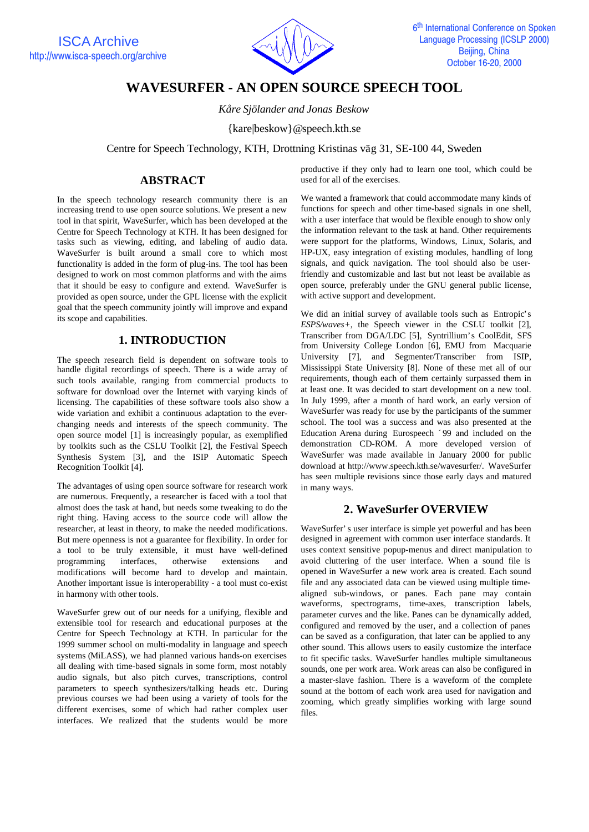

# **WAVESURFER - AN OPEN SOURCE SPEECH TOOL**

*Kåre Sjölander and Jonas Beskow*

{kare|beskow}@speech.kth.se

Centre for Speech Technology, KTH, Drottning Kristinas väg 31, SE-100 44, Sweden

#### **ABSTRACT**

In the speech technology research community there is an increasing trend to use open source solutions. We present a new tool in that spirit, WaveSurfer, which has been developed at the Centre for Speech Technology at KTH. It has been designed for tasks such as viewing, editing, and labeling of audio data. WaveSurfer is built around a small core to which most functionality is added in the form of plug-ins. The tool has been designed to work on most common platforms and with the aims that it should be easy to configure and extend. WaveSurfer is provided as open source, under the GPL license with the explicit goal that the speech community jointly will improve and expand its scope and capabilities.

# **1. INTRODUCTION**

The speech research field is dependent on software tools to handle digital recordings of speech. There is a wide array of such tools available, ranging from commercial products to software for download over the Internet with varying kinds of licensing. The capabilities of these software tools also show a wide variation and exhibit a continuous adaptation to the everchanging needs and interests of the speech community. The open source model [1] is increasingly popular, as exemplified by toolkits such as the CSLU Toolkit [2], the Festival Speech Synthesis System [3], and the ISIP Automatic Speech Recognition Toolkit [4].

The advantages of using open source software for research work are numerous. Frequently, a researcher is faced with a tool that almost does the task at hand, but needs some tweaking to do the right thing. Having access to the source code will allow the researcher, at least in theory, to make the needed modifications. But mere openness is not a guarantee for flexibility. In order for a tool to be truly extensible, it must have well-defined programming interfaces, otherwise extensions and modifications will become hard to develop and maintain. Another important issue is interoperability - a tool must co-exist in harmony with other tools.

WaveSurfer grew out of our needs for a unifying, flexible and extensible tool for research and educational purposes at the Centre for Speech Technology at KTH. In particular for the 1999 summer school on multi-modality in language and speech systems (MiLASS), we had planned various hands-on exercises all dealing with time-based signals in some form, most notably audio signals, but also pitch curves, transcriptions, control parameters to speech synthesizers/talking heads etc. During previous courses we had been using a variety of tools for the different exercises, some of which had rather complex user interfaces. We realized that the students would be more productive if they only had to learn one tool, which could be used for all of the exercises.

We wanted a framework that could accommodate many kinds of functions for speech and other time-based signals in one shell, with a user interface that would be flexible enough to show only the information relevant to the task at hand. Other requirements were support for the platforms, Windows, Linux, Solaris, and HP-UX, easy integration of existing modules, handling of long signals, and quick navigation. The tool should also be userfriendly and customizable and last but not least be available as open source, preferably under the GNU general public license, with active support and development.

We did an initial survey of available tools such as Entropic's *ESPS/waves+*, the Speech viewer in the CSLU toolkit [2], Transcriber from DGA/LDC [5], Syntrillium's CoolEdit, SFS from University College London [6], EMU from Macquarie University [7], and Segmenter/Transcriber from ISIP, Mississippi State University [8]. None of these met all of our requirements, though each of them certainly surpassed them in at least one. It was decided to start development on a new tool. In July 1999, after a month of hard work, an early version of WaveSurfer was ready for use by the participants of the summer school. The tool was a success and was also presented at the Education Arena during Eurospeech ´99 and included on the demonstration CD-ROM. A more developed version of WaveSurfer was made available in January 2000 for public download at http://www.speech.kth.se/wavesurfer/. WaveSurfer has seen multiple revisions since those early days and matured in many ways.

# **2. WaveSurfer OVERVIEW**

WaveSurfer's user interface is simple yet powerful and has been designed in agreement with common user interface standards. It uses context sensitive popup-menus and direct manipulation to avoid cluttering of the user interface. When a sound file is opened in WaveSurfer a new work area is created. Each sound file and any associated data can be viewed using multiple timealigned sub-windows, or panes. Each pane may contain waveforms, spectrograms, time-axes, transcription labels, parameter curves and the like. Panes can be dynamically added, configured and removed by the user, and a collection of panes can be saved as a configuration, that later can be applied to any other sound. This allows users to easily customize the interface to fit specific tasks. WaveSurfer handles multiple simultaneous sounds, one per work area. Work areas can also be configured in a master-slave fashion. There is a waveform of the complete sound at the bottom of each work area used for navigation and zooming, which greatly simplifies working with large sound files.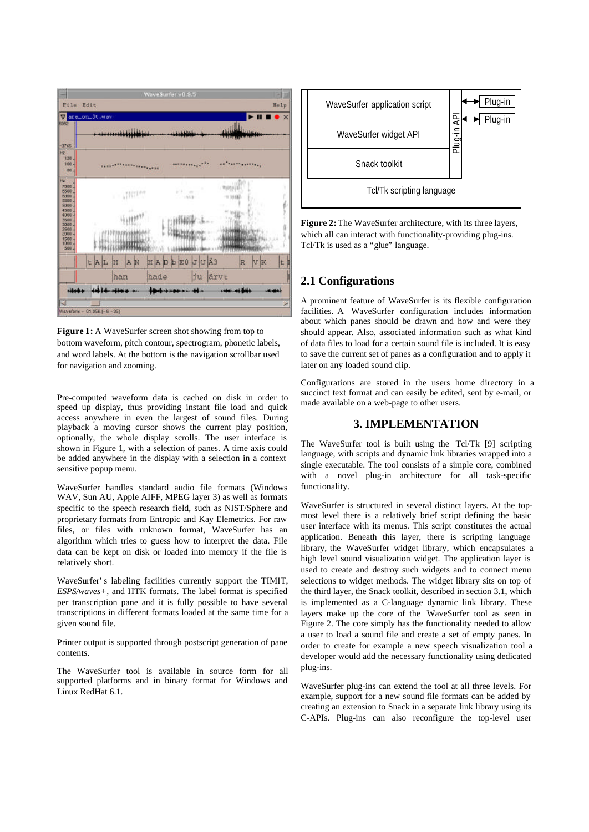

Figure 1: A WaveSurfer screen shot showing from top to bottom waveform, pitch contour, spectrogram, phonetic labels, and word labels. At the bottom is the navigation scrollbar used for navigation and zooming.

Pre-computed waveform data is cached on disk in order to speed up display, thus providing instant file load and quick access anywhere in even the largest of sound files. During playback a moving cursor shows the current play position, optionally, the whole display scrolls. The user interface is shown in Figure 1, with a selection of panes. A time axis could be added anywhere in the display with a selection in a context sensitive popup menu.

WaveSurfer handles standard audio file formats (Windows WAV, Sun AU, Apple AIFF, MPEG layer 3) as well as formats specific to the speech research field, such as NIST/Sphere and proprietary formats from Entropic and Kay Elemetrics. For raw files, or files with unknown format, WaveSurfer has an algorithm which tries to guess how to interpret the data. File data can be kept on disk or loaded into memory if the file is relatively short.

WaveSurfer's labeling facilities currently support the TIMIT, *ESPS/waves+*, and HTK formats. The label format is specified per transcription pane and it is fully possible to have several transcriptions in different formats loaded at the same time for a given sound file.

Printer output is supported through postscript generation of pane contents.

The WaveSurfer tool is available in source form for all supported platforms and in binary format for Windows and Linux RedHat 6.1.



**Figure 2:** The WaveSurfer architecture, with its three layers, which all can interact with functionality-providing plug-ins. Tcl/Tk is used as a "glue" language.

## **2.1 Configurations**

A prominent feature of WaveSurfer is its flexible configuration facilities. A WaveSurfer configuration includes information about which panes should be drawn and how and were they should appear. Also, associated information such as what kind of data files to load for a certain sound file is included. It is easy to save the current set of panes as a configuration and to apply it later on any loaded sound clip.

Configurations are stored in the users home directory in a succinct text format and can easily be edited, sent by e-mail, or made available on a web-page to other users.

#### **3. IMPLEMENTATION**

The WaveSurfer tool is built using the Tcl/Tk [9] scripting language, with scripts and dynamic link libraries wrapped into a single executable. The tool consists of a simple core, combined with a novel plug-in architecture for all task-specific functionality.

WaveSurfer is structured in several distinct layers. At the topmost level there is a relatively brief script defining the basic user interface with its menus. This script constitutes the actual application. Beneath this layer, there is scripting language library, the WaveSurfer widget library, which encapsulates a high level sound visualization widget. The application layer is used to create and destroy such widgets and to connect menu selections to widget methods. The widget library sits on top of the third layer, the Snack toolkit, described in section 3.1, which is implemented as a C-language dynamic link library. These layers make up the core of the WaveSurfer tool as seen in Figure 2. The core simply has the functionality needed to allow a user to load a sound file and create a set of empty panes. In order to create for example a new speech visualization tool a developer would add the necessary functionality using dedicated plug-ins.

WaveSurfer plug-ins can extend the tool at all three levels. For example, support for a new sound file formats can be added by creating an extension to Snack in a separate link library using its C-APIs. Plug-ins can also reconfigure the top-level user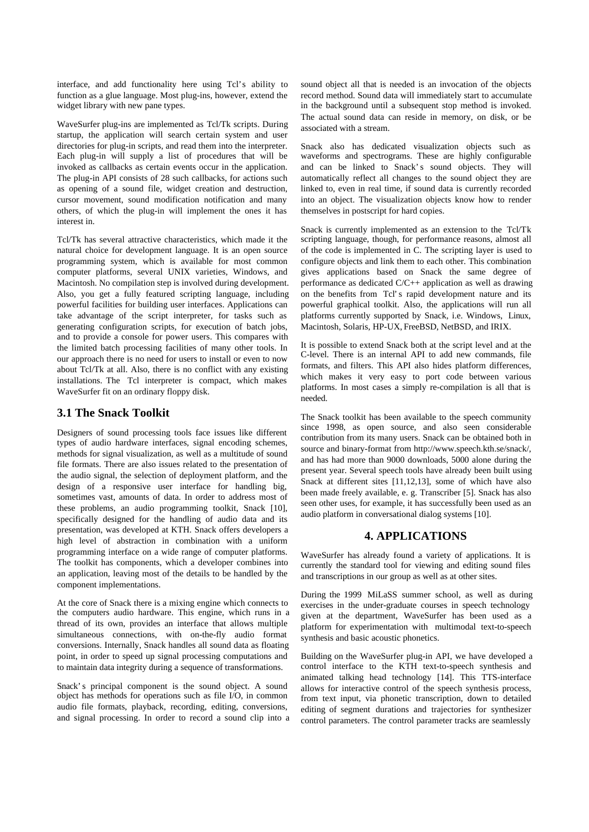interface, and add functionality here using Tcl's ability to function as a glue language. Most plug-ins, however, extend the widget library with new pane types.

WaveSurfer plug-ins are implemented as Tcl/Tk scripts. During startup, the application will search certain system and user directories for plug-in scripts, and read them into the interpreter. Each plug-in will supply a list of procedures that will be invoked as callbacks as certain events occur in the application. The plug-in API consists of 28 such callbacks, for actions such as opening of a sound file, widget creation and destruction, cursor movement, sound modification notification and many others, of which the plug-in will implement the ones it has interest in.

Tcl/Tk has several attractive characteristics, which made it the natural choice for development language. It is an open source programming system, which is available for most common computer platforms, several UNIX varieties, Windows, and Macintosh. No compilation step is involved during development. Also, you get a fully featured scripting language, including powerful facilities for building user interfaces. Applications can take advantage of the script interpreter, for tasks such as generating configuration scripts, for execution of batch jobs, and to provide a console for power users. This compares with the limited batch processing facilities of many other tools. In our approach there is no need for users to install or even to now about Tcl/Tk at all. Also, there is no conflict with any existing installations. The Tcl interpreter is compact, which makes WaveSurfer fit on an ordinary floppy disk.

## **3.1 The Snack Toolkit**

Designers of sound processing tools face issues like different types of audio hardware interfaces, signal encoding schemes, methods for signal visualization, as well as a multitude of sound file formats. There are also issues related to the presentation of the audio signal, the selection of deployment platform, and the design of a responsive user interface for handling big, sometimes vast, amounts of data. In order to address most of these problems, an audio programming toolkit, Snack [10], specifically designed for the handling of audio data and its presentation, was developed at KTH. Snack offers developers a high level of abstraction in combination with a uniform programming interface on a wide range of computer platforms. The toolkit has components, which a developer combines into an application, leaving most of the details to be handled by the component implementations.

At the core of Snack there is a mixing engine which connects to the computers audio hardware. This engine, which runs in a thread of its own, provides an interface that allows multiple simultaneous connections, with on-the-fly audio format conversions. Internally, Snack handles all sound data as floating point, in order to speed up signal processing computations and to maintain data integrity during a sequence of transformations.

Snack's principal component is the sound object. A sound object has methods for operations such as file I/O, in common audio file formats, playback, recording, editing, conversions, and signal processing. In order to record a sound clip into a sound object all that is needed is an invocation of the objects record method. Sound data will immediately start to accumulate in the background until a subsequent stop method is invoked. The actual sound data can reside in memory, on disk, or be associated with a stream.

Snack also has dedicated visualization objects such as waveforms and spectrograms. These are highly configurable and can be linked to Snack's sound objects. They will automatically reflect all changes to the sound object they are linked to, even in real time, if sound data is currently recorded into an object. The visualization objects know how to render themselves in postscript for hard copies.

Snack is currently implemented as an extension to the Tcl/Tk scripting language, though, for performance reasons, almost all of the code is implemented in C. The scripting layer is used to configure objects and link them to each other. This combination gives applications based on Snack the same degree of performance as dedicated C/C++ application as well as drawing on the benefits from Tcl's rapid development nature and its powerful graphical toolkit. Also, the applications will run all platforms currently supported by Snack, i.e. Windows, Linux, Macintosh, Solaris, HP-UX, FreeBSD, NetBSD, and IRIX.

It is possible to extend Snack both at the script level and at the C-level. There is an internal API to add new commands, file formats, and filters. This API also hides platform differences, which makes it very easy to port code between various platforms. In most cases a simply re-compilation is all that is needed.

The Snack toolkit has been available to the speech community since 1998, as open source, and also seen considerable contribution from its many users. Snack can be obtained both in source and binary-format from http://www.speech.kth.se/snack/, and has had more than 9000 downloads, 5000 alone during the present year. Several speech tools have already been built using Snack at different sites [11,12,13], some of which have also been made freely available, e. g. Transcriber [5]. Snack has also seen other uses, for example, it has successfully been used as an audio platform in conversational dialog systems [10].

## **4. APPLICATIONS**

WaveSurfer has already found a variety of applications. It is currently the standard tool for viewing and editing sound files and transcriptions in our group as well as at other sites.

During the 1999 MiLaSS summer school, as well as during exercises in the under-graduate courses in speech technology given at the department, WaveSurfer has been used as a platform for experimentation with multimodal text-to-speech synthesis and basic acoustic phonetics.

Building on the WaveSurfer plug-in API, we have developed a control interface to the KTH text-to-speech synthesis and animated talking head technology [14]. This TTS-interface allows for interactive control of the speech synthesis process, from text input, via phonetic transcription, down to detailed editing of segment durations and trajectories for synthesizer control parameters. The control parameter tracks are seamlessly